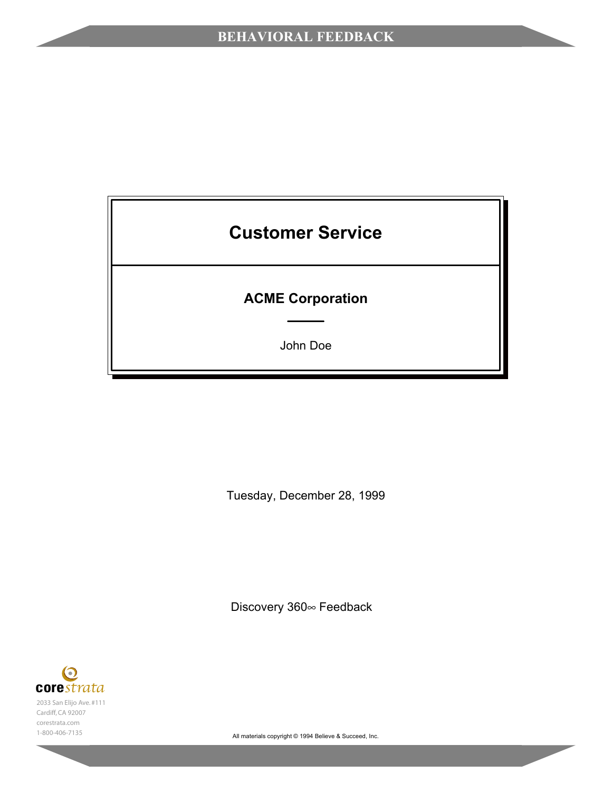# **Customer Service**

## **ACME Corporation**

John Doe

Tuesday, December 28, 1999

Discovery 360∞ Feedback

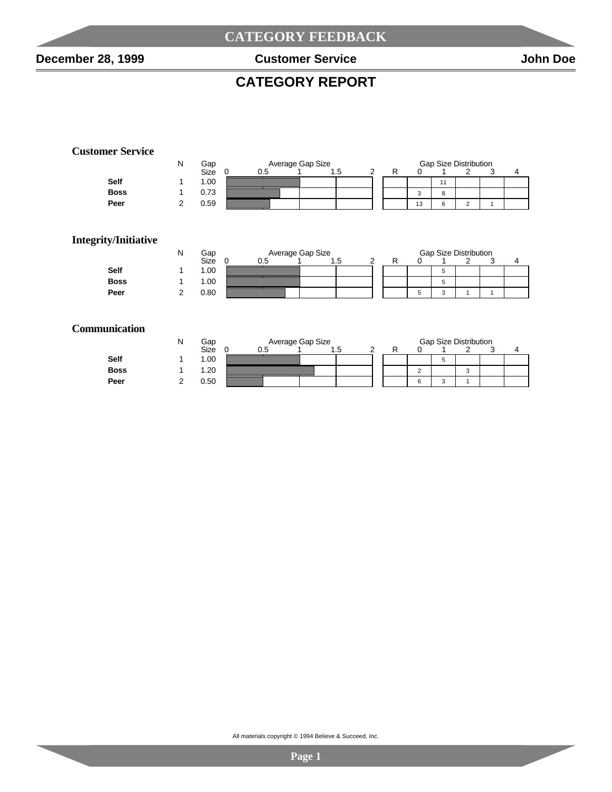$\overline{\phantom{a}}$ 

#### **CATEGORY REPORT**

#### **Customer Service**

|             | N | Gap  | Average Gap Size |  |      |  | <b>Gap Size Distribution</b> |    |        |  |  |  |  |  |
|-------------|---|------|------------------|--|------|--|------------------------------|----|--------|--|--|--|--|--|
|             |   | Size | 0.5              |  | ں. ا |  |                              |    |        |  |  |  |  |  |
| <b>Self</b> |   | 1.00 |                  |  |      |  |                              |    | 11     |  |  |  |  |  |
| <b>Boss</b> |   | 0.73 |                  |  |      |  |                              | 3  | 8      |  |  |  |  |  |
| Peer        |   | 0.59 |                  |  |      |  |                              | 13 | ี<br>U |  |  |  |  |  |

#### **Integrity/Initiative**

|             | N | Gap  |     | Average Gap Size |  |  | <b>Gap Size Distribution</b> |  |  |  |  |  |  |  |
|-------------|---|------|-----|------------------|--|--|------------------------------|--|--|--|--|--|--|--|
|             |   | Size | 0.5 | ں. ا             |  |  |                              |  |  |  |  |  |  |  |
| <b>Self</b> |   | 1.00 |     |                  |  |  |                              |  |  |  |  |  |  |  |
| <b>Boss</b> |   | 1.00 |     |                  |  |  |                              |  |  |  |  |  |  |  |
| Peer        |   | 0.80 |     |                  |  |  | Ð                            |  |  |  |  |  |  |  |

#### **Communication**

|             | IΝ | Gap  |     | Average Gap Size |     | <b>Gap Size Distribution</b> |        |              |        |  |  |  |  |
|-------------|----|------|-----|------------------|-----|------------------------------|--------|--------------|--------|--|--|--|--|
|             |    | Size | 0.5 |                  | ں ا |                              |        |              |        |  |  |  |  |
| <b>Self</b> |    | 1.00 |     |                  |     |                              |        | ∽<br>$\cdot$ |        |  |  |  |  |
| <b>Boss</b> |    | 1.20 |     |                  |     |                              | $\sim$ |              | r<br>N |  |  |  |  |
| Peer        |    | 0.50 |     |                  |     |                              | 6      | ∽<br>$\cdot$ |        |  |  |  |  |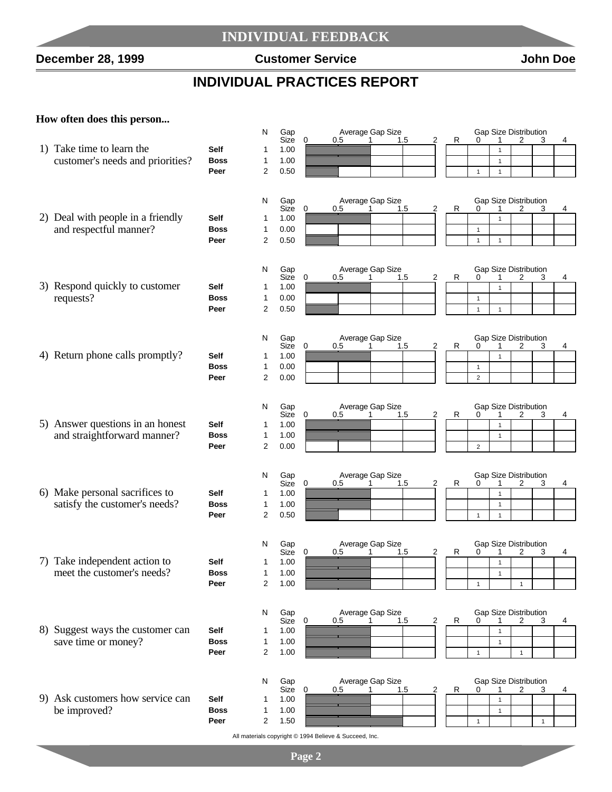#### **INDIVIDUAL FEEDBACK**

**December 28, 1999 Customer Service John Doe**

 $\overline{\phantom{a}}$ 

## **INDIVIDUAL PRACTICES REPORT**

#### **How often does this person...**

|                                   |                     | N              | Gap          |   |                                                        | Average Gap Size             |   |   |                | <b>Gap Size Distribution</b>      |              |              |   |
|-----------------------------------|---------------------|----------------|--------------|---|--------------------------------------------------------|------------------------------|---|---|----------------|-----------------------------------|--------------|--------------|---|
| 1) Take time to learn the         | Self                | 1              | Size<br>1.00 | 0 | 0.5                                                    | 1.5                          | 2 | R | 0              | 1<br>1                            | 2            | 3            | 4 |
| customer's needs and priorities?  | <b>Boss</b>         | 1              | 1.00         |   |                                                        |                              |   |   |                | $\mathbf{1}$                      |              |              |   |
|                                   | Peer                | 2              | 0.50         |   |                                                        |                              |   |   | $\mathbf{1}$   | $\mathbf{1}$                      |              |              |   |
|                                   |                     |                |              |   |                                                        |                              |   |   |                |                                   |              |              |   |
|                                   |                     |                |              |   |                                                        |                              |   |   |                |                                   |              |              |   |
|                                   |                     | N              | Gap<br>Size  | 0 | 0.5                                                    | Average Gap Size<br>1.5      | 2 |   |                | <b>Gap Size Distribution</b>      |              |              | 4 |
| 2) Deal with people in a friendly | Self                | 1              | 1.00         |   |                                                        |                              |   | R | 0              | $\mathbf{1}$                      | 2            | 3            |   |
| and respectful manner?            | <b>Boss</b>         | 1              | 0.00         |   |                                                        |                              |   |   | $\mathbf{1}$   |                                   |              |              |   |
|                                   | Peer                | 2              | 0.50         |   |                                                        |                              |   |   | $\mathbf{1}$   | $\mathbf{1}$                      |              |              |   |
|                                   |                     |                |              |   |                                                        |                              |   |   |                |                                   |              |              |   |
|                                   |                     |                |              |   |                                                        |                              |   |   |                |                                   |              |              |   |
|                                   |                     | N              | Gap<br>Size  | 0 | 0.5                                                    | Average Gap Size<br>1.5<br>1 | 2 | R | 0              | Gap Size Distribution<br>1        | 2            | 3            | 4 |
| 3) Respond quickly to customer    | Self                | 1              | 1.00         |   |                                                        |                              |   |   |                | $\mathbf{1}$                      |              |              |   |
| requests?                         | <b>Boss</b>         | 1              | 0.00         |   |                                                        |                              |   |   | $\mathbf{1}$   |                                   |              |              |   |
|                                   | Peer                | 2              | 0.50         |   |                                                        |                              |   |   | $\mathbf{1}$   | $\mathbf{1}$                      |              |              |   |
|                                   |                     |                |              |   |                                                        |                              |   |   |                |                                   |              |              |   |
|                                   |                     | N              | Gap          |   |                                                        | Average Gap Size             |   |   |                | Gap Size Distribution             |              |              |   |
|                                   |                     |                | Size         | 0 | 0.5                                                    | 1.5                          | 2 | R | 0              |                                   | 2            | 3            | 4 |
| 4) Return phone calls promptly?   | Self                | 1              | 1.00         |   |                                                        |                              |   |   |                | $\mathbf{1}$                      |              |              |   |
|                                   | <b>Boss</b>         | 1              | 0.00         |   |                                                        |                              |   |   | $\mathbf{1}$   |                                   |              |              |   |
|                                   | Peer                | 2              | 0.00         |   |                                                        |                              |   |   | $\overline{2}$ |                                   |              |              |   |
|                                   |                     |                |              |   |                                                        |                              |   |   |                |                                   |              |              |   |
|                                   |                     | N              | Gap          |   |                                                        | Average Gap Size             |   |   |                | <b>Gap Size Distribution</b>      |              |              |   |
| 5) Answer questions in an honest  |                     |                | Size         | 0 | 0.5                                                    | 1.5<br>1                     | 2 | R | 0              |                                   | 2            | 3            | 4 |
|                                   | Self<br><b>Boss</b> | 1<br>1         | 1.00<br>1.00 |   |                                                        |                              |   |   |                | $\mathbf{1}$                      |              |              |   |
| and straightforward manner?       | Peer                | 2              | 0.00         |   |                                                        |                              |   |   | $\overline{2}$ | $\mathbf{1}$                      |              |              |   |
|                                   |                     |                |              |   |                                                        |                              |   |   |                |                                   |              |              |   |
|                                   |                     |                |              |   |                                                        |                              |   |   |                |                                   |              |              |   |
|                                   |                     | N              | Gap<br>Size  | 0 | 0.5                                                    | Average Gap Size<br>1.5      | 2 | R | 0              | <b>Gap Size Distribution</b><br>1 | 2            | 3            | 4 |
| 6) Make personal sacrifices to    | <b>Self</b>         | 1              | 1.00         |   |                                                        |                              |   |   |                | $\mathbf{1}$                      |              |              |   |
| satisfy the customer's needs?     | <b>Boss</b>         | 1              | 1.00         |   |                                                        |                              |   |   |                | $\mathbf{1}$                      |              |              |   |
|                                   | Peer                | $\overline{2}$ | 0.50         |   |                                                        |                              |   |   | $\mathbf{1}$   | $\mathbf{1}$                      |              |              |   |
|                                   |                     |                |              |   |                                                        |                              |   |   |                |                                   |              |              |   |
|                                   |                     | N              | Gap          |   |                                                        | Average Gap Size             |   |   |                | <b>Gap Size Distribution</b>      |              |              |   |
|                                   |                     |                | Size         | 0 | 0.5                                                    | 1.5                          | 2 | R | 0              |                                   | 2            | 3            | 4 |
| 7) Take independent action to     | Self                | 1              | 1.00         |   |                                                        |                              |   |   |                | $\mathbf{1}$                      |              |              |   |
| meet the customer's needs?        | <b>Boss</b>         | 1              | 1.00         |   |                                                        |                              |   |   |                | $\mathbf{1}$                      |              |              |   |
|                                   | Peer                | 2              | 1.00         |   |                                                        |                              |   |   | 1              |                                   | $\mathbf{1}$ |              |   |
|                                   |                     |                |              |   |                                                        |                              |   |   |                |                                   |              |              |   |
|                                   |                     | N              | Gap          |   |                                                        | Average Gap Size             |   |   |                | Gap Size Distribution             |              |              |   |
| 8) Suggest ways the customer can  | Self                | 1              | Size<br>1.00 | 0 | 0.5                                                    | 1.5<br>1                     | 2 | R | 0              | 1                                 | 2            | 3            | 4 |
| save time or money?               | <b>Boss</b>         | 1              | 1.00         |   |                                                        |                              |   |   |                | 1<br>$\mathbf{1}$                 |              |              |   |
|                                   | Peer                | 2              | 1.00         |   |                                                        |                              |   |   | $\mathbf{1}$   |                                   | $\mathbf{1}$ |              |   |
|                                   |                     |                |              |   |                                                        |                              |   |   |                |                                   |              |              |   |
|                                   |                     |                |              |   |                                                        |                              |   |   |                |                                   |              |              |   |
|                                   |                     | N              | Gap<br>Size  | 0 | 0.5                                                    | Average Gap Size<br>1.5      | 2 | R | 0              | Gap Size Distribution             | 2            | 3            | 4 |
| 9) Ask customers how service can  | Self                | 1              | 1.00         |   |                                                        |                              |   |   |                | $\mathbf{1}$                      |              |              |   |
| be improved?                      | <b>Boss</b>         | 1              | 1.00         |   |                                                        |                              |   |   |                | $\mathbf{1}$                      |              |              |   |
|                                   | Peer                | 2              | 1.50         |   |                                                        |                              |   |   | $\mathbf{1}$   |                                   |              | $\mathbf{1}$ |   |
|                                   |                     |                |              |   | All materials copyright @ 1994 Believe & Succeed, Inc. |                              |   |   |                |                                   |              |              |   |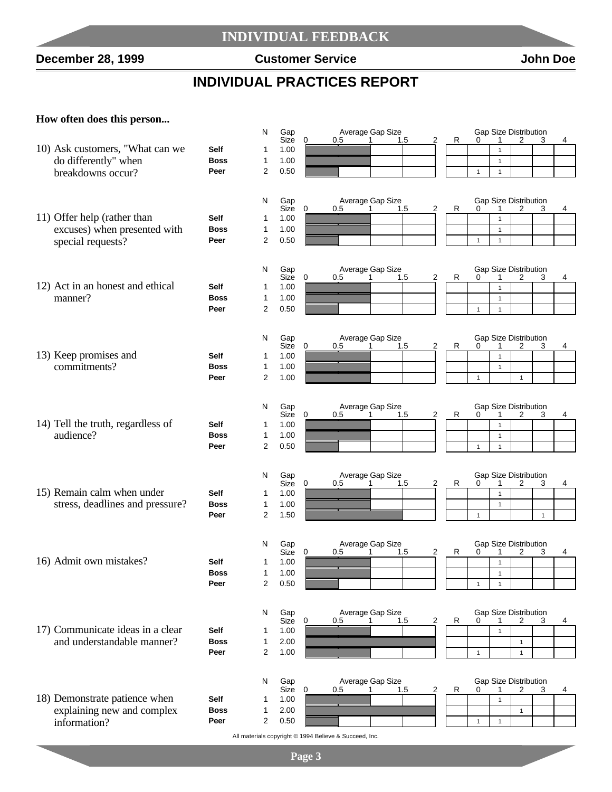#### **INDIVIDUAL FEEDBACK**

**December 28, 1999 Customer Service John Doe**

## **INDIVIDUAL PRACTICES REPORT**

#### **How often does this person...**

|                                   |             | N                              | Gap          |             |                                                        | Average Gap Size             |   |   |              | Gap Size Distribution        |              |              |   |
|-----------------------------------|-------------|--------------------------------|--------------|-------------|--------------------------------------------------------|------------------------------|---|---|--------------|------------------------------|--------------|--------------|---|
| 10) Ask customers, "What can we   | <b>Self</b> | -1                             | Size<br>1.00 | 0           | 0.5                                                    | 1.5<br>1                     | 2 | R | 0            | 1<br>$\mathbf{1}$            | 2            | 3            | 4 |
| do differently" when              | <b>Boss</b> | 1                              | 1.00         |             |                                                        |                              |   |   |              | $\mathbf{1}$                 |              |              |   |
| breakdowns occur?                 | Peer        | 2                              | 0.50         |             |                                                        |                              |   |   | $\mathbf{1}$ | $\mathbf{1}$                 |              |              |   |
|                                   |             |                                |              |             |                                                        |                              |   |   |              |                              |              |              |   |
|                                   |             | N                              | Gap          |             |                                                        | Average Gap Size             |   |   |              | Gap Size Distribution        |              |              |   |
|                                   |             |                                | Size         | $\mathbf 0$ | 0.5                                                    | 1.5                          | 2 | R | 0            | 1                            | 2            | 3            | 4 |
| 11) Offer help (rather than       | <b>Self</b> | -1                             | 1.00         |             |                                                        |                              |   |   |              | $\mathbf{1}$                 |              |              |   |
| excuses) when presented with      | <b>Boss</b> | $\mathbf{1}$                   | 1.00         |             |                                                        |                              |   |   |              | $\mathbf{1}$                 |              |              |   |
| special requests?                 | Peer        | 2                              | 0.50         |             |                                                        |                              |   |   | $\mathbf{1}$ | $\mathbf{1}$                 |              |              |   |
|                                   |             |                                |              |             |                                                        |                              |   |   |              |                              |              |              |   |
|                                   |             | N                              | Gap<br>Size  | 0           | 0.5                                                    | Average Gap Size<br>1.5<br>1 | 2 | R | 0            | Gap Size Distribution<br>1   | 2            | 3            | 4 |
| 12) Act in an honest and ethical  | <b>Self</b> | -1                             | 1.00         |             |                                                        |                              |   |   |              | $\mathbf{1}$                 |              |              |   |
| manner?                           | <b>Boss</b> | $\mathbf{1}$                   | 1.00         |             |                                                        |                              |   |   |              | $\mathbf{1}$                 |              |              |   |
|                                   | Peer        | $\overline{2}$                 | 0.50         |             |                                                        |                              |   |   | $\mathbf{1}$ | $\mathbf{1}$                 |              |              |   |
|                                   |             |                                |              |             |                                                        |                              |   |   |              |                              |              |              |   |
|                                   |             | N                              | Gap          |             |                                                        | Average Gap Size             |   |   |              | Gap Size Distribution        |              |              |   |
|                                   |             |                                | Size         | 0           | 0.5                                                    | 1.5                          | 2 | R | 0            | 1                            | 2            | 3            | 4 |
| 13) Keep promises and             | Self        | 1                              | 1.00         |             |                                                        |                              |   |   |              | $\mathbf{1}$                 |              |              |   |
| commitments?                      | <b>Boss</b> | $\mathbf{1}$<br>$\overline{2}$ | 1.00<br>1.00 |             |                                                        |                              |   |   |              | $\mathbf{1}$                 |              |              |   |
|                                   | Peer        |                                |              |             |                                                        |                              |   |   | $\mathbf{1}$ |                              | $\mathbf{1}$ |              |   |
|                                   |             | N                              | Gap          |             |                                                        | Average Gap Size             |   |   |              | Gap Size Distribution        |              |              |   |
|                                   |             |                                | Size         | 0           | 0.5                                                    | 1.5<br>1                     | 2 | R | 0            | 1                            | 2            | 3            | 4 |
| 14) Tell the truth, regardless of | <b>Self</b> | -1                             | 1.00         |             |                                                        |                              |   |   |              | $\mathbf{1}$                 |              |              |   |
| audience?                         | <b>Boss</b> | $\mathbf{1}$                   | 1.00         |             |                                                        |                              |   |   |              | $\mathbf{1}$                 |              |              |   |
|                                   | Peer        | 2                              | 0.50         |             |                                                        |                              |   |   | $\mathbf{1}$ | $\mathbf{1}$                 |              |              |   |
|                                   |             |                                |              |             |                                                        |                              |   |   |              |                              |              |              |   |
|                                   |             | N                              | Gap          |             |                                                        | Average Gap Size             |   |   |              | Gap Size Distribution        |              |              |   |
|                                   |             |                                | Size         | 0           | 0.5                                                    | 1.5                          | 2 | R | 0            | 1                            | 2            | 3            | 4 |
| 15) Remain calm when under        | <b>Self</b> | 1                              | 1.00         |             |                                                        |                              |   |   |              | $\mathbf{1}$                 |              |              |   |
| stress, deadlines and pressure?   | <b>Boss</b> | 1                              | 1.00         |             |                                                        |                              |   |   |              | $\mathbf{1}$                 |              |              |   |
|                                   | Peer        | $\overline{2}$                 | 1.50         |             |                                                        |                              |   |   | $\mathbf{1}$ |                              |              | $\mathbf{1}$ |   |
|                                   |             | N                              |              |             |                                                        |                              |   |   |              | Gap Size Distribution        |              |              |   |
|                                   |             |                                | Gap<br>Size  | 0           | 0.5                                                    | Average Gap Size<br>1.5      | 2 | R | 0            | 1                            | 2            | 3            | 4 |
| 16) Admit own mistakes?           | Self        | 1                              | 1.00         |             |                                                        |                              |   |   |              | $\mathbf{1}$                 |              |              |   |
|                                   | <b>Boss</b> | 1                              | 1.00         |             |                                                        |                              |   |   |              | $\mathbf{1}$                 |              |              |   |
|                                   | Peer        | 2                              | 0.50         |             |                                                        |                              |   |   | 1            |                              |              |              |   |
|                                   |             |                                |              |             |                                                        |                              |   |   |              |                              |              |              |   |
|                                   |             | N                              | Gap          |             |                                                        | Average Gap Size             |   |   |              | Gap Size Distribution        |              |              |   |
| 17) Communicate ideas in a clear  | <b>Self</b> | 1                              | Size<br>1.00 | $\mathbf 0$ | 0.5                                                    | 1.5<br>1                     | 2 | R | 0            | 1<br>$\mathbf{1}$            | 2            | 3            | 4 |
| and understandable manner?        | <b>Boss</b> | 1                              | 2.00         |             |                                                        |                              |   |   |              |                              |              |              |   |
|                                   | Peer        | 2                              | 1.00         |             |                                                        |                              |   |   | $\mathbf{1}$ |                              | $\mathbf{1}$ |              |   |
|                                   |             |                                |              |             |                                                        |                              |   |   |              |                              | $\mathbf{1}$ |              |   |
|                                   |             |                                |              |             |                                                        |                              |   |   |              |                              |              |              |   |
|                                   |             | N                              | Gap<br>Size  | 0           |                                                        | Average Gap Size<br>1.5      | 2 | R | 0            | <b>Gap Size Distribution</b> |              | 3            | 4 |
| 18) Demonstrate patience when     | Self        | 1                              | 1.00         |             | 0.5                                                    |                              |   |   |              |                              | 2            |              |   |
| explaining new and complex        | <b>Boss</b> | 1                              | 2.00         |             |                                                        |                              |   |   |              |                              | $\mathbf{1}$ |              |   |
| information?                      | Peer        | $\overline{2}$                 | 0.50         |             |                                                        |                              |   |   | $\mathbf{1}$ | $\mathbf{1}$                 |              |              |   |
|                                   |             |                                |              |             | All materials copyright @ 1994 Believe & Succeed, Inc. |                              |   |   |              |                              |              |              |   |
|                                   |             |                                |              |             |                                                        |                              |   |   |              |                              |              |              |   |
|                                   |             |                                |              | Page 3      |                                                        |                              |   |   |              |                              |              |              |   |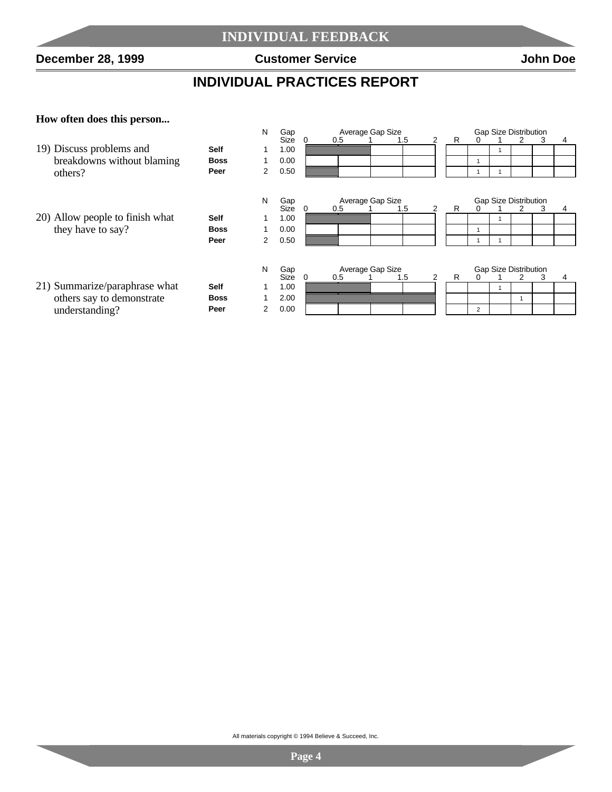$\overline{\phantom{a}}$ 

## **INDIVIDUAL PRACTICES REPORT**

#### **How often does this person...**

**Contract** 

| N<br><b>Gap Size Distribution</b><br>Gap<br>Average Gap Size |             |   |             |          |     |                         |                |   |                |                              |   |   |   |
|--------------------------------------------------------------|-------------|---|-------------|----------|-----|-------------------------|----------------|---|----------------|------------------------------|---|---|---|
|                                                              |             |   | Size        |          | 0.5 | 1.5                     | 2              | R |                |                              | 2 | 3 | 4 |
| 19) Discuss problems and                                     | <b>Self</b> |   | 1.00        |          |     |                         |                |   |                | 1                            |   |   |   |
| breakdowns without blaming                                   | <b>Boss</b> |   | 0.00        |          |     |                         |                |   |                |                              |   |   |   |
| others?                                                      | Peer        | 2 | 0.50        |          |     |                         |                |   |                |                              |   |   |   |
|                                                              |             | N | Gap         |          |     | Average Gap Size        |                |   |                | <b>Gap Size Distribution</b> |   |   |   |
|                                                              |             |   | Size        | $\Omega$ | 0.5 | 1.5                     | 2              | R |                |                              | 2 | 3 | 4 |
| 20) Allow people to finish what                              | <b>Self</b> |   | 1.00        |          |     |                         |                |   |                | 1                            |   |   |   |
| they have to say?                                            | <b>Boss</b> |   | 0.00        |          |     |                         |                |   |                |                              |   |   |   |
|                                                              | Peer        | 2 | 0.50        |          |     |                         |                |   |                |                              |   |   |   |
|                                                              |             | N | Gap<br>Size |          | 0.5 | Average Gap Size<br>1.5 | $\overline{2}$ | R |                | <b>Gap Size Distribution</b> | 2 | 3 |   |
| 21) Summarize/paraphrase what                                | <b>Self</b> |   | 1.00        |          |     |                         |                |   |                | 1                            |   |   |   |
| others say to demonstrate                                    | <b>Boss</b> |   | 2.00        |          |     |                         |                |   |                |                              |   |   |   |
| understanding?                                               | Peer        | 2 | 0.00        |          |     |                         |                |   | $\overline{2}$ |                              |   |   |   |

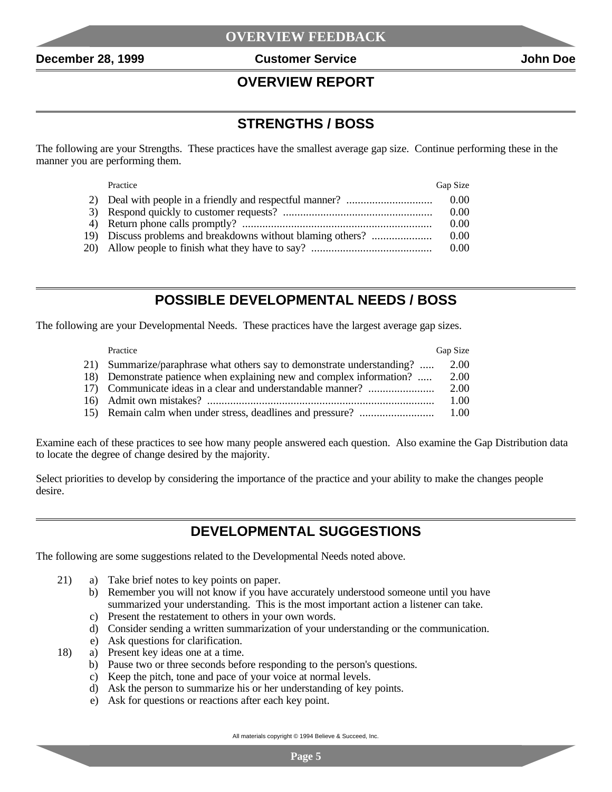#### **OVERVIEW REPORT**

#### **STRENGTHS / BOSS**

The following are your Strengths. These practices have the smallest average gap size. Continue performing these in the manner you are performing them.

| Practice                                                    | Gap Size |
|-------------------------------------------------------------|----------|
|                                                             | 0.00     |
|                                                             | 0.00     |
|                                                             | 0.00     |
| 19) Discuss problems and breakdowns without blaming others? | 0.00     |
|                                                             | 0.00     |

#### **POSSIBLE DEVELOPMENTAL NEEDS / BOSS**

The following are your Developmental Needs. These practices have the largest average gap sizes.

| Practice                                                               | Gap Size |
|------------------------------------------------------------------------|----------|
| 21) Summarize/paraphrase what others say to demonstrate understanding? | 2.00     |
| 18) Demonstrate patience when explaining new and complex information?  | 2.00     |
| 17) Communicate ideas in a clear and understandable manner?            | 2.00     |
|                                                                        | 1.00     |
|                                                                        | 1.00     |

Examine each of these practices to see how many people answered each question. Also examine the Gap Distribution data to locate the degree of change desired by the majority.

Select priorities to develop by considering the importance of the practice and your ability to make the changes people desire.

#### **DEVELOPMENTAL SUGGESTIONS**

The following are some suggestions related to the Developmental Needs noted above.

- 21) a) Take brief notes to key points on paper.
	- b) Remember you will not know if you have accurately understood someone until you have summarized your understanding. This is the most important action a listener can take.
		- c) Present the restatement to others in your own words.
		- d) Consider sending a written summarization of your understanding or the communication.
	- e) Ask questions for clarification.
- 18) a) Present key ideas one at a time.
	- b) Pause two or three seconds before responding to the person's questions.
	- c) Keep the pitch, tone and pace of your voice at normal levels.
	- d) Ask the person to summarize his or her understanding of key points.
	- e) Ask for questions or reactions after each key point.

All materials copyright © 1994 Believe & Succeed, Inc.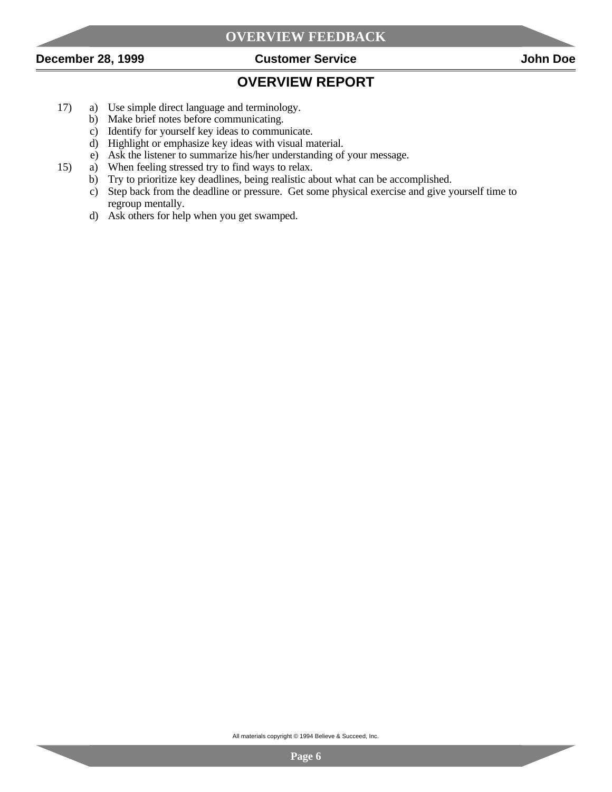

## **OVERVIEW REPORT**

- 17) a) Use simple direct language and terminology.
	- b) Make brief notes before communicating.
	- c) Identify for yourself key ideas to communicate.
	- d) Highlight or emphasize key ideas with visual material.
	- e) Ask the listener to summarize his/her understanding of your message.
- 15) a) When feeling stressed try to find ways to relax.
	- b) Try to prioritize key deadlines, being realistic about what can be accomplished.
	- c) Step back from the deadline or pressure. Get some physical exercise and give yourself time to regroup mentally.
	- d) Ask others for help when you get swamped.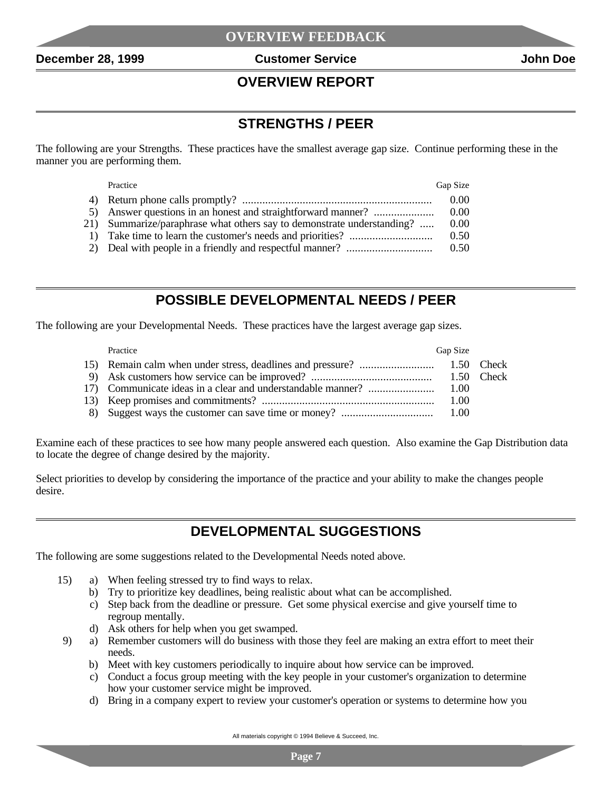#### **OVERVIEW REPORT**

#### **STRENGTHS / PEER**

The following are your Strengths. These practices have the smallest average gap size. Continue performing these in the manner you are performing them.

| Practice                                                               | Gap Size |
|------------------------------------------------------------------------|----------|
|                                                                        | 0.00     |
| 5) Answer questions in an honest and straightforward manner?           | 0.00     |
| 21) Summarize/paraphrase what others say to demonstrate understanding? | 0.00     |
|                                                                        | 0.50     |
|                                                                        | 0.50     |

#### **POSSIBLE DEVELOPMENTAL NEEDS / PEER**

The following are your Developmental Needs. These practices have the largest average gap sizes.

| Practice | Gap Size |  |
|----------|----------|--|
|          |          |  |
|          |          |  |
|          |          |  |
|          | 1.00     |  |
|          |          |  |

Examine each of these practices to see how many people answered each question. Also examine the Gap Distribution data to locate the degree of change desired by the majority.

Select priorities to develop by considering the importance of the practice and your ability to make the changes people desire.

#### **DEVELOPMENTAL SUGGESTIONS**

The following are some suggestions related to the Developmental Needs noted above.

- 15) a) When feeling stressed try to find ways to relax.
	- b) Try to prioritize key deadlines, being realistic about what can be accomplished.
	- c) Step back from the deadline or pressure. Get some physical exercise and give yourself time to regroup mentally.
	- d) Ask others for help when you get swamped.
- 9) a) Remember customers will do business with those they feel are making an extra effort to meet their needs.
	- b) Meet with key customers periodically to inquire about how service can be improved.
	- c) Conduct a focus group meeting with the key people in your customer's organization to determine how your customer service might be improved.
	- d) Bring in a company expert to review your customer's operation or systems to determine how you

All materials copyright © 1994 Believe & Succeed, Inc.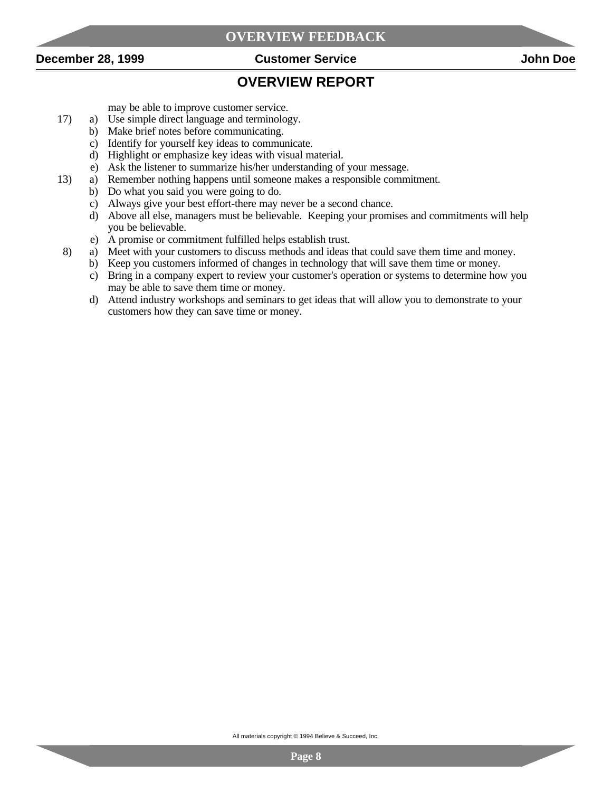



#### **OVERVIEW REPORT**

may be able to improve customer service.

- 17) a) Use simple direct language and terminology.
	- b) Make brief notes before communicating.
	- c) Identify for yourself key ideas to communicate.
	- d) Highlight or emphasize key ideas with visual material.
	- e) Ask the listener to summarize his/her understanding of your message.
- 13) a) Remember nothing happens until someone makes a responsible commitment.
	- b) Do what you said you were going to do.
		- c) Always give your best effort-there may never be a second chance.
		- d) Above all else, managers must be believable. Keeping your promises and commitments will help you be believable.
	- e) A promise or commitment fulfilled helps establish trust.
- 8) a) Meet with your customers to discuss methods and ideas that could save them time and money.
	- b) Keep you customers informed of changes in technology that will save them time or money.
	- c) Bring in a company expert to review your customer's operation or systems to determine how you may be able to save them time or money.
	- d) Attend industry workshops and seminars to get ideas that will allow you to demonstrate to your customers how they can save time or money.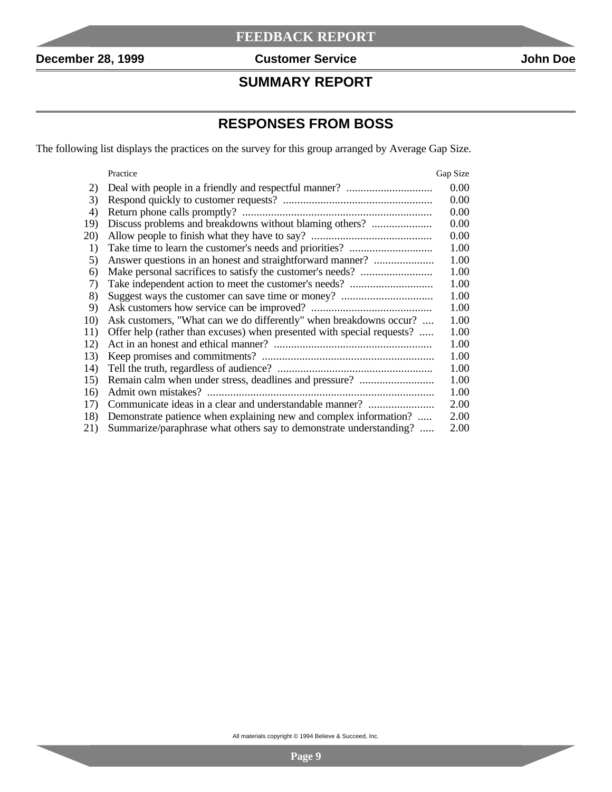$\overline{\phantom{a}}$ 

#### **SUMMARY REPORT**

## **RESPONSES FROM BOSS**

The following list displays the practices on the survey for this group arranged by Average Gap Size.

|     | Practice                                                               | Gap Size |
|-----|------------------------------------------------------------------------|----------|
| 2)  |                                                                        | 0.00     |
| 3)  |                                                                        | 0.00     |
| 4)  |                                                                        | 0.00     |
| 19) | Discuss problems and breakdowns without blaming others?                | 0.00     |
| 20) |                                                                        | 0.00     |
| 1)  |                                                                        | 1.00     |
| 5)  | Answer questions in an honest and straightforward manner?              | 1.00     |
| 6)  |                                                                        | 1.00     |
| 7)  |                                                                        | 1.00     |
| 8)  |                                                                        | 1.00     |
| 9)  |                                                                        | 1.00     |
| 10) | Ask customers, "What can we do differently" when breakdowns occur?     | 1.00     |
| 11) | Offer help (rather than excuses) when presented with special requests? | 1.00     |
| 12) |                                                                        | 1.00     |
| 13) |                                                                        | 1.00     |
| 14) |                                                                        | 1.00     |
| 15) | Remain calm when under stress, deadlines and pressure?                 | 1.00     |
| 16) |                                                                        | 1.00     |
| 17) | Communicate ideas in a clear and understandable manner?                | 2.00     |
| 18) | Demonstrate patience when explaining new and complex information?      | 2.00     |
| 21) | Summarize/paraphrase what others say to demonstrate understanding?     | 2.00     |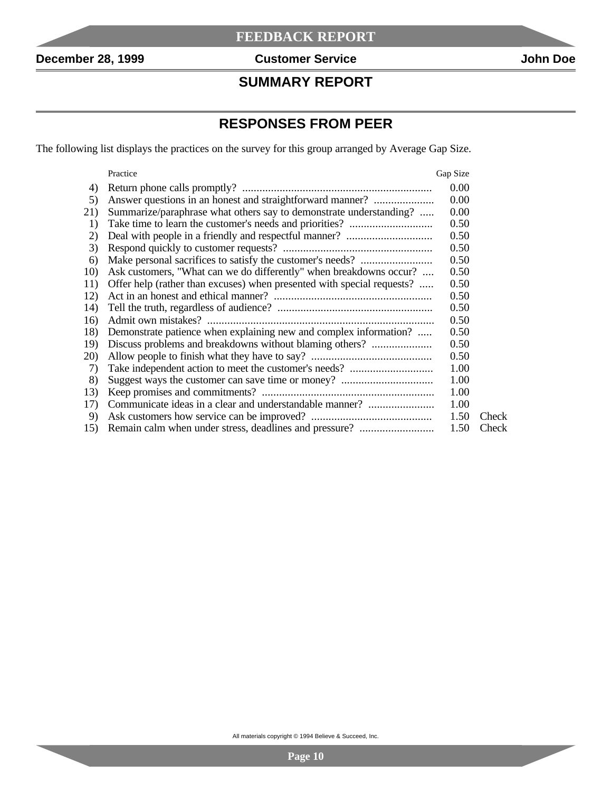$\overline{\phantom{a}}$ 

#### **SUMMARY REPORT**

## **RESPONSES FROM PEER**

The following list displays the practices on the survey for this group arranged by Average Gap Size.

|     | Practice                                                               | Gap Size |       |
|-----|------------------------------------------------------------------------|----------|-------|
| 4)  |                                                                        | 0.00     |       |
| 5)  | Answer questions in an honest and straightforward manner?              | 0.00     |       |
| 21) | Summarize/paraphrase what others say to demonstrate understanding?     | 0.00     |       |
| 1)  |                                                                        | 0.50     |       |
| 2)  |                                                                        | 0.50     |       |
| 3)  |                                                                        | 0.50     |       |
| 6)  |                                                                        | 0.50     |       |
| 10) | Ask customers, "What can we do differently" when breakdowns occur?     | 0.50     |       |
| 11) | Offer help (rather than excuses) when presented with special requests? | 0.50     |       |
| 12) |                                                                        | 0.50     |       |
| 14) |                                                                        | 0.50     |       |
| 16) |                                                                        | 0.50     |       |
| 18) | Demonstrate patience when explaining new and complex information?      | 0.50     |       |
| 19) |                                                                        | 0.50     |       |
| 20) |                                                                        | 0.50     |       |
| 7)  |                                                                        | 1.00     |       |
| 8)  |                                                                        | 1.00     |       |
| 13) |                                                                        | 1.00     |       |
| 17) | Communicate ideas in a clear and understandable manner?                | 1.00     |       |
| 9)  |                                                                        | 1.50     | Check |
| 15) |                                                                        | 1.50     | Check |
|     |                                                                        |          |       |